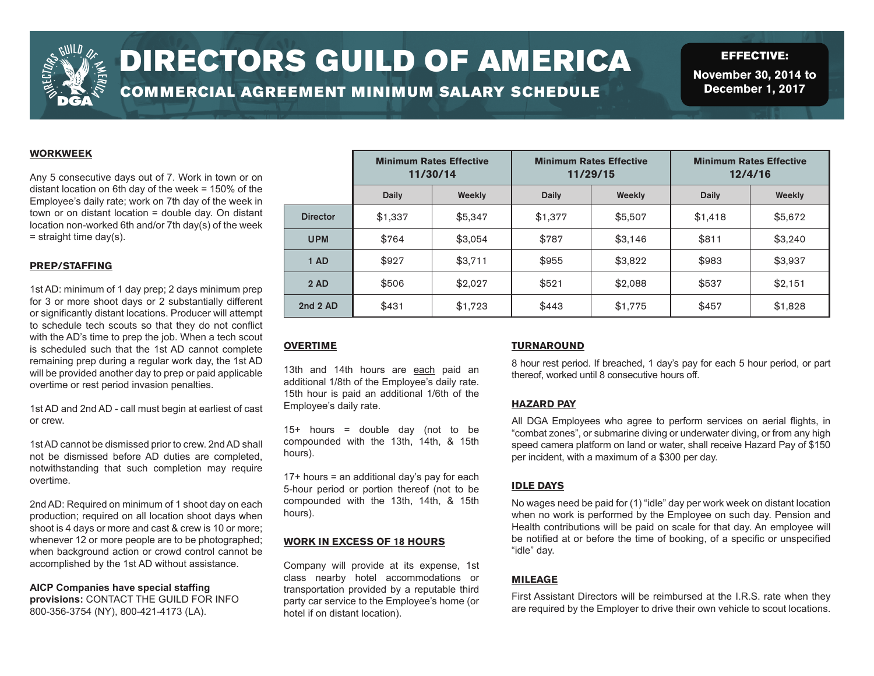

# DIRECTORS GUILD OF AMERICA

COMMERCIAL AGREEMENT MINIMUM SALARY SCHEDULE

EFFECTIVE: **November 30, 2014 to December 1, 2017**

# **WORKWEEK**

Any 5 consecutive days out of 7. Work in town or on distant location on 6th day of the week = 150% of the Employee's daily rate; work on 7th day of the week in town or on distant location = double day. On distant location non-worked 6th and/or 7th day(s) of the week  $=$  straight time day(s).

## **PREP/STAFFING**

1st AD: minimum of 1 day prep; 2 days minimum prep for 3 or more shoot days or 2 substantially different or significantly distant locations. Producer will attempt to schedule tech scouts so that they do not conflict with the AD's time to prep the job. When a tech scout is scheduled such that the 1st AD cannot complete remaining prep during a regular work day, the 1st AD will be provided another day to prep or paid applicable overtime or rest period invasion penalties.

1st AD and 2nd AD - call must begin at earliest of cast or crew.

1st AD cannot be dismissed prior to crew. 2nd AD shall not be dismissed before AD duties are completed, notwithstanding that such completion may require overtime.

2nd AD: Required on minimum of 1 shoot day on each production; required on all location shoot days when shoot is 4 days or more and cast & crew is 10 or more; whenever 12 or more people are to be photographed; when background action or crowd control cannot be accomplished by the 1st AD without assistance.

**AICP Companies have special staffing provisions:** CONTACT THE GUILD FOR INFO 800-356-3754 (NY), 800-421-4173 (LA).

|                 | <b>Minimum Rates Effective</b><br>11/30/14 |         | <b>Minimum Rates Effective</b><br>11/29/15 |         | <b>Minimum Rates Effective</b><br>12/4/16 |         |
|-----------------|--------------------------------------------|---------|--------------------------------------------|---------|-------------------------------------------|---------|
|                 | Daily                                      | Weekly  | Daily                                      | Weekly  | Daily                                     | Weekly  |
| <b>Director</b> | \$1,337                                    | \$5,347 | \$1,377                                    | \$5,507 | \$1,418                                   | \$5,672 |
| <b>UPM</b>      | \$764                                      | \$3,054 | \$787                                      | \$3,146 | \$811                                     | \$3,240 |
| 1 AD            | \$927                                      | \$3,711 | \$955                                      | \$3,822 | \$983                                     | \$3,937 |
| 2AD             | \$506                                      | \$2,027 | \$521                                      | \$2,088 | \$537                                     | \$2,151 |
| 2nd 2 AD        | \$431                                      | \$1,723 | \$443                                      | \$1,775 | \$457                                     | \$1,828 |

# **OVERTIME**

13th and 14th hours are each paid an additional 1/8th of the Employee's daily rate. 15th hour is paid an additional 1/6th of the Employee's daily rate.

 $15+$  hours = double day (not to be compounded with the 13th, 14th, & 15th hours).

17+ hours = an additional day's pay for each 5-hour period or portion thereof (not to be compounded with the 13th, 14th, & 15th hours).

## **WORK IN EXCESS OF 18 HOURS**

Company will provide at its expense, 1st class nearby hotel accommodations or transportation provided by a reputable third party car service to the Employee's home (or hotel if on distant location).

## **TURNAROUND**

8 hour rest period. If breached, 1 day's pay for each 5 hour period, or part thereof, worked until 8 consecutive hours off.

#### **HAZARD PAY**

All DGA Employees who agree to perform services on aerial flights, in "combat zones", or submarine diving or underwater diving, or from any high speed camera platform on land or water, shall receive Hazard Pay of \$150 per incident, with a maximum of a \$300 per day.

## **IDLE DAYS**

No wages need be paid for (1) "idle" day per work week on distant location when no work is performed by the Employee on such day. Pension and Health contributions will be paid on scale for that day. An employee will be notified at or before the time of booking, of a specific or unspecified "idle" day.

# **MILEAGE**

First Assistant Directors will be reimbursed at the I.R.S. rate when they are required by the Employer to drive their own vehicle to scout locations.